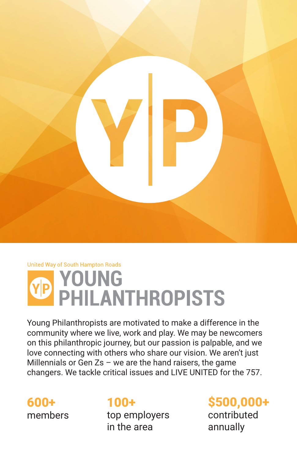

#### **United Way of South Hampton Roads**



Young Philanthropists are motivated to make a difference in the community where we live, work and play. We may be newcomers on this philanthropic journey, but our passion is palpable, and we love connecting with others who share our vision. We aren't just Millennials or Gen  $Zs$  – we are the hand raisers, the game changers. We tackle critical issues and LIVE UNITED for the 757.

600+ members

### 100+

top employers in the area

### \$500,000+ contributed

annually